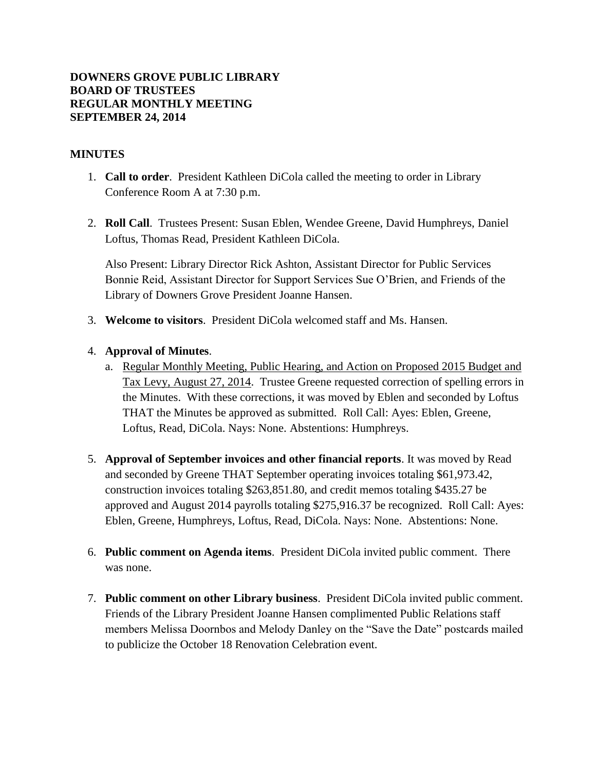## **DOWNERS GROVE PUBLIC LIBRARY BOARD OF TRUSTEES REGULAR MONTHLY MEETING SEPTEMBER 24, 2014**

## **MINUTES**

- 1. **Call to order**. President Kathleen DiCola called the meeting to order in Library Conference Room A at 7:30 p.m.
- 2. **Roll Call**. Trustees Present: Susan Eblen, Wendee Greene, David Humphreys, Daniel Loftus, Thomas Read, President Kathleen DiCola.

Also Present: Library Director Rick Ashton, Assistant Director for Public Services Bonnie Reid, Assistant Director for Support Services Sue O'Brien, and Friends of the Library of Downers Grove President Joanne Hansen.

3. **Welcome to visitors**. President DiCola welcomed staff and Ms. Hansen.

## 4. **Approval of Minutes**.

- a. Regular Monthly Meeting, Public Hearing, and Action on Proposed 2015 Budget and Tax Levy, August 27, 2014. Trustee Greene requested correction of spelling errors in the Minutes. With these corrections, it was moved by Eblen and seconded by Loftus THAT the Minutes be approved as submitted. Roll Call: Ayes: Eblen, Greene, Loftus, Read, DiCola. Nays: None. Abstentions: Humphreys.
- 5. **Approval of September invoices and other financial reports**. It was moved by Read and seconded by Greene THAT September operating invoices totaling \$61,973.42, construction invoices totaling \$263,851.80, and credit memos totaling \$435.27 be approved and August 2014 payrolls totaling \$275,916.37 be recognized. Roll Call: Ayes: Eblen, Greene, Humphreys, Loftus, Read, DiCola. Nays: None. Abstentions: None.
- 6. **Public comment on Agenda items**. President DiCola invited public comment. There was none.
- 7. **Public comment on other Library business**. President DiCola invited public comment. Friends of the Library President Joanne Hansen complimented Public Relations staff members Melissa Doornbos and Melody Danley on the "Save the Date" postcards mailed to publicize the October 18 Renovation Celebration event.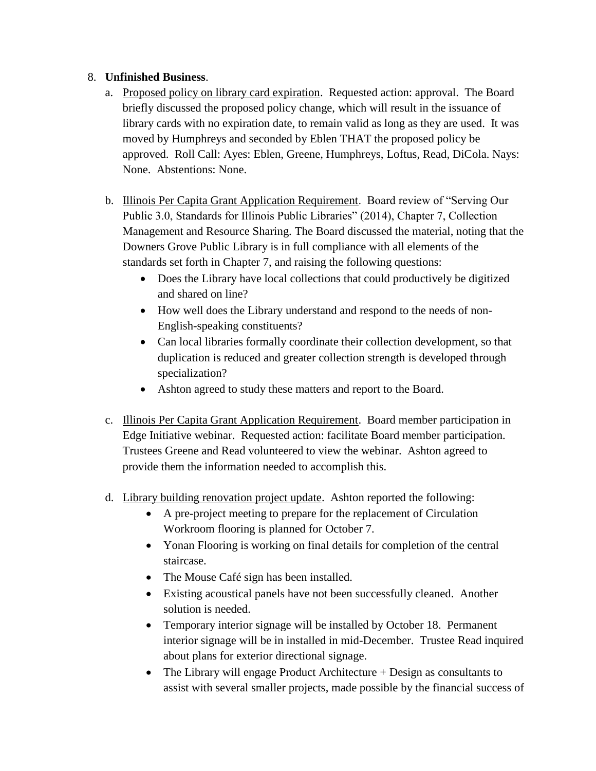## 8. **Unfinished Business**.

- a. Proposed policy on library card expiration. Requested action: approval. The Board briefly discussed the proposed policy change, which will result in the issuance of library cards with no expiration date, to remain valid as long as they are used. It was moved by Humphreys and seconded by Eblen THAT the proposed policy be approved. Roll Call: Ayes: Eblen, Greene, Humphreys, Loftus, Read, DiCola. Nays: None. Abstentions: None.
- b. Illinois Per Capita Grant Application Requirement. Board review of "Serving Our Public 3.0, Standards for Illinois Public Libraries" (2014), Chapter 7, Collection Management and Resource Sharing. The Board discussed the material, noting that the Downers Grove Public Library is in full compliance with all elements of the standards set forth in Chapter 7, and raising the following questions:
	- Does the Library have local collections that could productively be digitized and shared on line?
	- How well does the Library understand and respond to the needs of non-English-speaking constituents?
	- Can local libraries formally coordinate their collection development, so that duplication is reduced and greater collection strength is developed through specialization?
	- Ashton agreed to study these matters and report to the Board.
- c. Illinois Per Capita Grant Application Requirement. Board member participation in Edge Initiative webinar. Requested action: facilitate Board member participation. Trustees Greene and Read volunteered to view the webinar. Ashton agreed to provide them the information needed to accomplish this.
- d. Library building renovation project update. Ashton reported the following:
	- A pre-project meeting to prepare for the replacement of Circulation Workroom flooring is planned for October 7.
	- Yonan Flooring is working on final details for completion of the central staircase.
	- The Mouse Café sign has been installed.
	- Existing acoustical panels have not been successfully cleaned. Another solution is needed.
	- Temporary interior signage will be installed by October 18. Permanent interior signage will be in installed in mid-December. Trustee Read inquired about plans for exterior directional signage.
	- The Library will engage Product Architecture + Design as consultants to assist with several smaller projects, made possible by the financial success of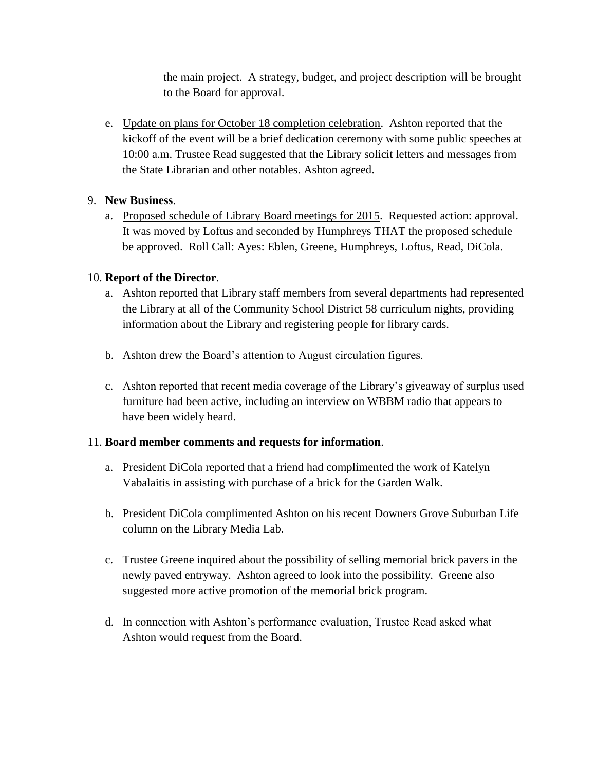the main project. A strategy, budget, and project description will be brought to the Board for approval.

e. Update on plans for October 18 completion celebration. Ashton reported that the kickoff of the event will be a brief dedication ceremony with some public speeches at 10:00 a.m. Trustee Read suggested that the Library solicit letters and messages from the State Librarian and other notables. Ashton agreed.

## 9. **New Business**.

a. Proposed schedule of Library Board meetings for 2015. Requested action: approval. It was moved by Loftus and seconded by Humphreys THAT the proposed schedule be approved. Roll Call: Ayes: Eblen, Greene, Humphreys, Loftus, Read, DiCola.

# 10. **Report of the Director**.

- a. Ashton reported that Library staff members from several departments had represented the Library at all of the Community School District 58 curriculum nights, providing information about the Library and registering people for library cards.
- b. Ashton drew the Board's attention to August circulation figures.
- c. Ashton reported that recent media coverage of the Library's giveaway of surplus used furniture had been active, including an interview on WBBM radio that appears to have been widely heard.

## 11. **Board member comments and requests for information**.

- a. President DiCola reported that a friend had complimented the work of Katelyn Vabalaitis in assisting with purchase of a brick for the Garden Walk.
- b. President DiCola complimented Ashton on his recent Downers Grove Suburban Life column on the Library Media Lab.
- c. Trustee Greene inquired about the possibility of selling memorial brick pavers in the newly paved entryway. Ashton agreed to look into the possibility. Greene also suggested more active promotion of the memorial brick program.
- d. In connection with Ashton's performance evaluation, Trustee Read asked what Ashton would request from the Board.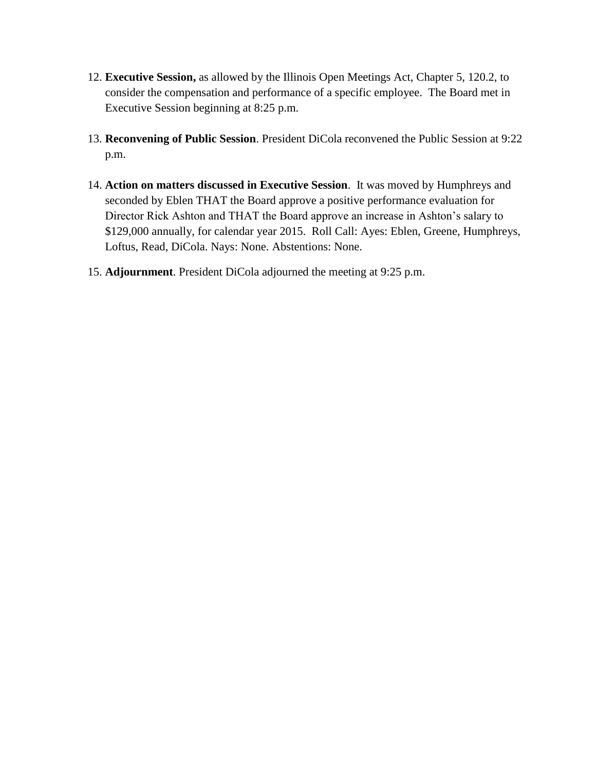- 12. **Executive Session,** as allowed by the Illinois Open Meetings Act, Chapter 5, 120.2, to consider the compensation and performance of a specific employee. The Board met in Executive Session beginning at 8:25 p.m.
- 13. **Reconvening of Public Session**. President DiCola reconvened the Public Session at 9:22 p.m.
- 14. **Action on matters discussed in Executive Session**. It was moved by Humphreys and seconded by Eblen THAT the Board approve a positive performance evaluation for Director Rick Ashton and THAT the Board approve an increase in Ashton's salary to \$129,000 annually, for calendar year 2015. Roll Call: Ayes: Eblen, Greene, Humphreys, Loftus, Read, DiCola. Nays: None. Abstentions: None.
- 15. **Adjournment**. President DiCola adjourned the meeting at 9:25 p.m.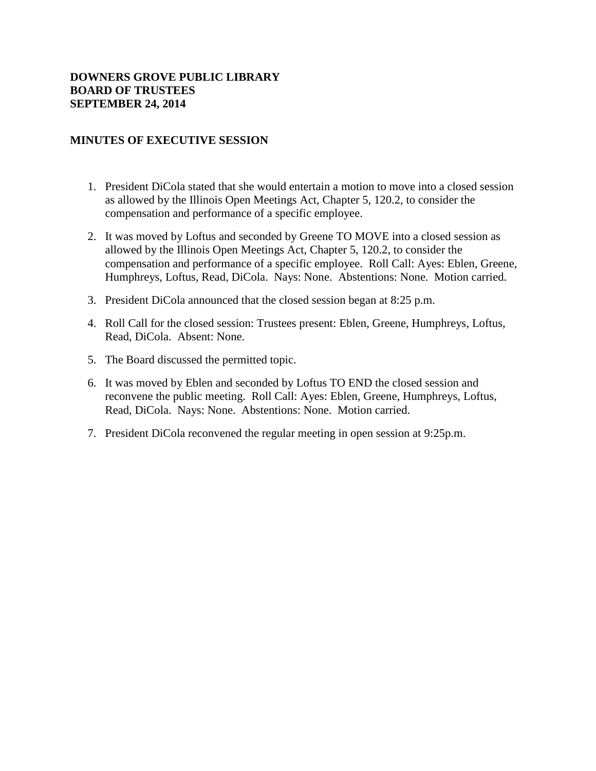## **DOWNERS GROVE PUBLIC LIBRARY BOARD OF TRUSTEES SEPTEMBER 24, 2014**

## **MINUTES OF EXECUTIVE SESSION**

- 1. President DiCola stated that she would entertain a motion to move into a closed session as allowed by the Illinois Open Meetings Act, Chapter 5, 120.2, to consider the compensation and performance of a specific employee.
- 2. It was moved by Loftus and seconded by Greene TO MOVE into a closed session as allowed by the Illinois Open Meetings Act, Chapter 5, 120.2, to consider the compensation and performance of a specific employee. Roll Call: Ayes: Eblen, Greene, Humphreys, Loftus, Read, DiCola. Nays: None. Abstentions: None. Motion carried.
- 3. President DiCola announced that the closed session began at 8:25 p.m.
- 4. Roll Call for the closed session: Trustees present: Eblen, Greene, Humphreys, Loftus, Read, DiCola. Absent: None.
- 5. The Board discussed the permitted topic.
- 6. It was moved by Eblen and seconded by Loftus TO END the closed session and reconvene the public meeting. Roll Call: Ayes: Eblen, Greene, Humphreys, Loftus, Read, DiCola. Nays: None. Abstentions: None. Motion carried.
- 7. President DiCola reconvened the regular meeting in open session at 9:25p.m.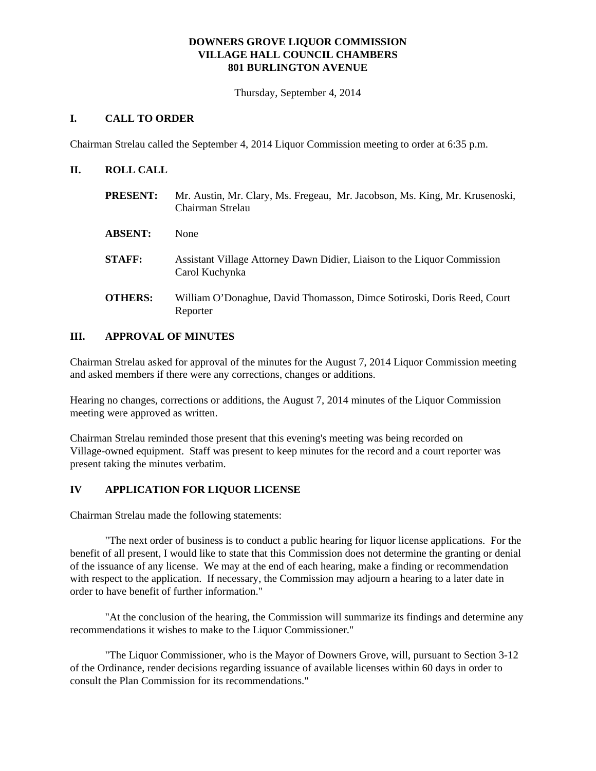#### **DOWNERS GROVE LIQUOR COMMISSION VILLAGE HALL COUNCIL CHAMBERS 801 BURLINGTON AVENUE**

Thursday, September 4, 2014

### **I. CALL TO ORDER**

Chairman Strelau called the September 4, 2014 Liquor Commission meeting to order at 6:35 p.m.

#### **II. ROLL CALL**

| <b>PRESENT:</b> | Mr. Austin, Mr. Clary, Ms. Fregeau, Mr. Jacobson, Ms. King, Mr. Krusenoski,<br>Chairman Strelau |
|-----------------|-------------------------------------------------------------------------------------------------|
| <b>ABSENT:</b>  | None                                                                                            |
| <b>STAFF:</b>   | Assistant Village Attorney Dawn Didier, Liaison to the Liquor Commission<br>Carol Kuchynka      |
| <b>OTHERS:</b>  | William O'Donaghue, David Thomasson, Dimce Sotiroski, Doris Reed, Court<br>Reporter             |

#### **III. APPROVAL OF MINUTES**

Chairman Strelau asked for approval of the minutes for the August 7, 2014 Liquor Commission meeting and asked members if there were any corrections, changes or additions.

Hearing no changes, corrections or additions, the August 7, 2014 minutes of the Liquor Commission meeting were approved as written.

Chairman Strelau reminded those present that this evening's meeting was being recorded on Village-owned equipment. Staff was present to keep minutes for the record and a court reporter was present taking the minutes verbatim.

### **IV APPLICATION FOR LIQUOR LICENSE**

Chairman Strelau made the following statements:

"The next order of business is to conduct a public hearing for liquor license applications. For the benefit of all present, I would like to state that this Commission does not determine the granting or denial of the issuance of any license. We may at the end of each hearing, make a finding or recommendation with respect to the application. If necessary, the Commission may adjourn a hearing to a later date in order to have benefit of further information."

"At the conclusion of the hearing, the Commission will summarize its findings and determine any recommendations it wishes to make to the Liquor Commissioner."

"The Liquor Commissioner, who is the Mayor of Downers Grove, will, pursuant to Section 3-12 of the Ordinance, render decisions regarding issuance of available licenses within 60 days in order to consult the Plan Commission for its recommendations."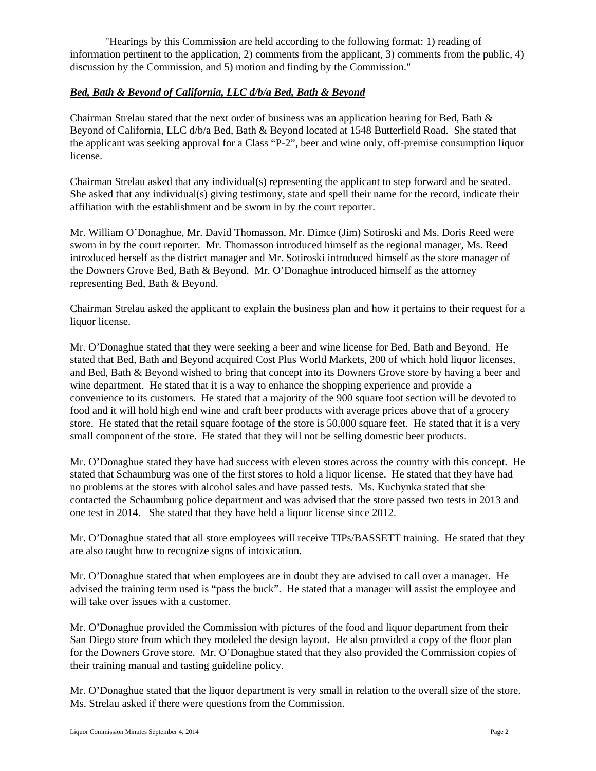"Hearings by this Commission are held according to the following format: 1) reading of information pertinent to the application, 2) comments from the applicant, 3) comments from the public, 4) discussion by the Commission, and 5) motion and finding by the Commission."

### *Bed, Bath & Beyond of California, LLC d/b/a Bed, Bath & Beyond*

Chairman Strelau stated that the next order of business was an application hearing for Bed, Bath  $\&$ Beyond of California, LLC d/b/a Bed, Bath & Beyond located at 1548 Butterfield Road. She stated that the applicant was seeking approval for a Class "P-2", beer and wine only, off-premise consumption liquor license.

Chairman Strelau asked that any individual(s) representing the applicant to step forward and be seated. She asked that any individual(s) giving testimony, state and spell their name for the record, indicate their affiliation with the establishment and be sworn in by the court reporter.

Mr. William O'Donaghue, Mr. David Thomasson, Mr. Dimce (Jim) Sotiroski and Ms. Doris Reed were sworn in by the court reporter. Mr. Thomasson introduced himself as the regional manager, Ms. Reed introduced herself as the district manager and Mr. Sotiroski introduced himself as the store manager of the Downers Grove Bed, Bath & Beyond. Mr. O'Donaghue introduced himself as the attorney representing Bed, Bath & Beyond.

Chairman Strelau asked the applicant to explain the business plan and how it pertains to their request for a liquor license.

Mr. O'Donaghue stated that they were seeking a beer and wine license for Bed, Bath and Beyond. He stated that Bed, Bath and Beyond acquired Cost Plus World Markets, 200 of which hold liquor licenses, and Bed, Bath & Beyond wished to bring that concept into its Downers Grove store by having a beer and wine department. He stated that it is a way to enhance the shopping experience and provide a convenience to its customers. He stated that a majority of the 900 square foot section will be devoted to food and it will hold high end wine and craft beer products with average prices above that of a grocery store. He stated that the retail square footage of the store is 50,000 square feet. He stated that it is a very small component of the store. He stated that they will not be selling domestic beer products.

Mr. O'Donaghue stated they have had success with eleven stores across the country with this concept. He stated that Schaumburg was one of the first stores to hold a liquor license. He stated that they have had no problems at the stores with alcohol sales and have passed tests. Ms. Kuchynka stated that she contacted the Schaumburg police department and was advised that the store passed two tests in 2013 and one test in 2014. She stated that they have held a liquor license since 2012.

Mr. O'Donaghue stated that all store employees will receive TIPs/BASSETT training. He stated that they are also taught how to recognize signs of intoxication.

Mr. O'Donaghue stated that when employees are in doubt they are advised to call over a manager. He advised the training term used is "pass the buck". He stated that a manager will assist the employee and will take over issues with a customer.

Mr. O'Donaghue provided the Commission with pictures of the food and liquor department from their San Diego store from which they modeled the design layout. He also provided a copy of the floor plan for the Downers Grove store. Mr. O'Donaghue stated that they also provided the Commission copies of their training manual and tasting guideline policy.

Mr. O'Donaghue stated that the liquor department is very small in relation to the overall size of the store. Ms. Strelau asked if there were questions from the Commission.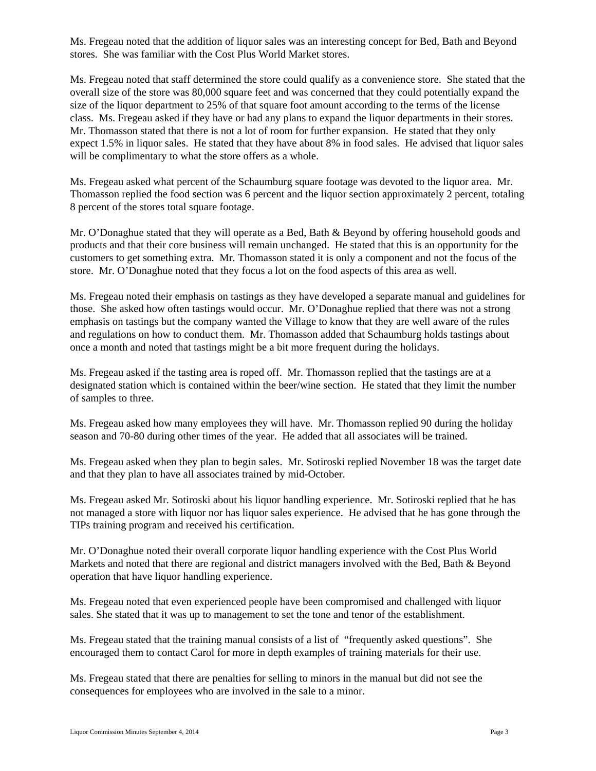Ms. Fregeau noted that the addition of liquor sales was an interesting concept for Bed, Bath and Beyond stores. She was familiar with the Cost Plus World Market stores.

Ms. Fregeau noted that staff determined the store could qualify as a convenience store. She stated that the overall size of the store was 80,000 square feet and was concerned that they could potentially expand the size of the liquor department to 25% of that square foot amount according to the terms of the license class. Ms. Fregeau asked if they have or had any plans to expand the liquor departments in their stores. Mr. Thomasson stated that there is not a lot of room for further expansion. He stated that they only expect 1.5% in liquor sales. He stated that they have about 8% in food sales. He advised that liquor sales will be complimentary to what the store offers as a whole.

Ms. Fregeau asked what percent of the Schaumburg square footage was devoted to the liquor area. Mr. Thomasson replied the food section was 6 percent and the liquor section approximately 2 percent, totaling 8 percent of the stores total square footage.

Mr. O'Donaghue stated that they will operate as a Bed, Bath & Beyond by offering household goods and products and that their core business will remain unchanged. He stated that this is an opportunity for the customers to get something extra. Mr. Thomasson stated it is only a component and not the focus of the store. Mr. O'Donaghue noted that they focus a lot on the food aspects of this area as well.

Ms. Fregeau noted their emphasis on tastings as they have developed a separate manual and guidelines for those. She asked how often tastings would occur. Mr. O'Donaghue replied that there was not a strong emphasis on tastings but the company wanted the Village to know that they are well aware of the rules and regulations on how to conduct them. Mr. Thomasson added that Schaumburg holds tastings about once a month and noted that tastings might be a bit more frequent during the holidays.

Ms. Fregeau asked if the tasting area is roped off. Mr. Thomasson replied that the tastings are at a designated station which is contained within the beer/wine section. He stated that they limit the number of samples to three.

Ms. Fregeau asked how many employees they will have. Mr. Thomasson replied 90 during the holiday season and 70-80 during other times of the year. He added that all associates will be trained.

Ms. Fregeau asked when they plan to begin sales. Mr. Sotiroski replied November 18 was the target date and that they plan to have all associates trained by mid-October.

Ms. Fregeau asked Mr. Sotiroski about his liquor handling experience. Mr. Sotiroski replied that he has not managed a store with liquor nor has liquor sales experience. He advised that he has gone through the TIPs training program and received his certification.

Mr. O'Donaghue noted their overall corporate liquor handling experience with the Cost Plus World Markets and noted that there are regional and district managers involved with the Bed, Bath & Beyond operation that have liquor handling experience.

Ms. Fregeau noted that even experienced people have been compromised and challenged with liquor sales. She stated that it was up to management to set the tone and tenor of the establishment.

Ms. Fregeau stated that the training manual consists of a list of "frequently asked questions". She encouraged them to contact Carol for more in depth examples of training materials for their use.

Ms. Fregeau stated that there are penalties for selling to minors in the manual but did not see the consequences for employees who are involved in the sale to a minor.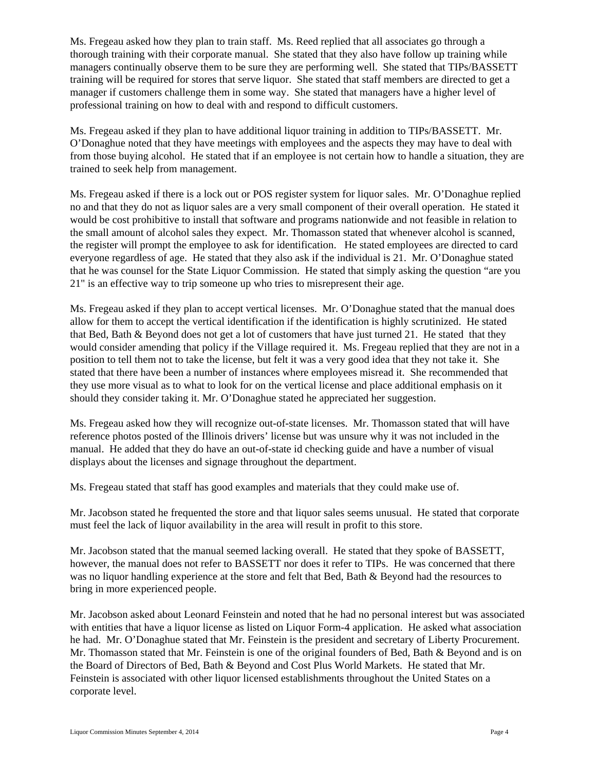Ms. Fregeau asked how they plan to train staff. Ms. Reed replied that all associates go through a thorough training with their corporate manual. She stated that they also have follow up training while managers continually observe them to be sure they are performing well. She stated that TIPs/BASSETT training will be required for stores that serve liquor. She stated that staff members are directed to get a manager if customers challenge them in some way. She stated that managers have a higher level of professional training on how to deal with and respond to difficult customers.

Ms. Fregeau asked if they plan to have additional liquor training in addition to TIPs/BASSETT. Mr. O'Donaghue noted that they have meetings with employees and the aspects they may have to deal with from those buying alcohol. He stated that if an employee is not certain how to handle a situation, they are trained to seek help from management.

Ms. Fregeau asked if there is a lock out or POS register system for liquor sales. Mr. O'Donaghue replied no and that they do not as liquor sales are a very small component of their overall operation. He stated it would be cost prohibitive to install that software and programs nationwide and not feasible in relation to the small amount of alcohol sales they expect. Mr. Thomasson stated that whenever alcohol is scanned, the register will prompt the employee to ask for identification. He stated employees are directed to card everyone regardless of age. He stated that they also ask if the individual is 21. Mr. O'Donaghue stated that he was counsel for the State Liquor Commission. He stated that simply asking the question "are you 21" is an effective way to trip someone up who tries to misrepresent their age.

Ms. Fregeau asked if they plan to accept vertical licenses. Mr. O'Donaghue stated that the manual does allow for them to accept the vertical identification if the identification is highly scrutinized. He stated that Bed, Bath & Beyond does not get a lot of customers that have just turned 21. He stated that they would consider amending that policy if the Village required it. Ms. Fregeau replied that they are not in a position to tell them not to take the license, but felt it was a very good idea that they not take it. She stated that there have been a number of instances where employees misread it. She recommended that they use more visual as to what to look for on the vertical license and place additional emphasis on it should they consider taking it. Mr. O'Donaghue stated he appreciated her suggestion.

Ms. Fregeau asked how they will recognize out-of-state licenses. Mr. Thomasson stated that will have reference photos posted of the Illinois drivers' license but was unsure why it was not included in the manual. He added that they do have an out-of-state id checking guide and have a number of visual displays about the licenses and signage throughout the department.

Ms. Fregeau stated that staff has good examples and materials that they could make use of.

Mr. Jacobson stated he frequented the store and that liquor sales seems unusual. He stated that corporate must feel the lack of liquor availability in the area will result in profit to this store.

Mr. Jacobson stated that the manual seemed lacking overall. He stated that they spoke of BASSETT, however, the manual does not refer to BASSETT nor does it refer to TIPs. He was concerned that there was no liquor handling experience at the store and felt that Bed, Bath & Beyond had the resources to bring in more experienced people.

Mr. Jacobson asked about Leonard Feinstein and noted that he had no personal interest but was associated with entities that have a liquor license as listed on Liquor Form-4 application. He asked what association he had. Mr. O'Donaghue stated that Mr. Feinstein is the president and secretary of Liberty Procurement. Mr. Thomasson stated that Mr. Feinstein is one of the original founders of Bed, Bath & Beyond and is on the Board of Directors of Bed, Bath & Beyond and Cost Plus World Markets. He stated that Mr. Feinstein is associated with other liquor licensed establishments throughout the United States on a corporate level.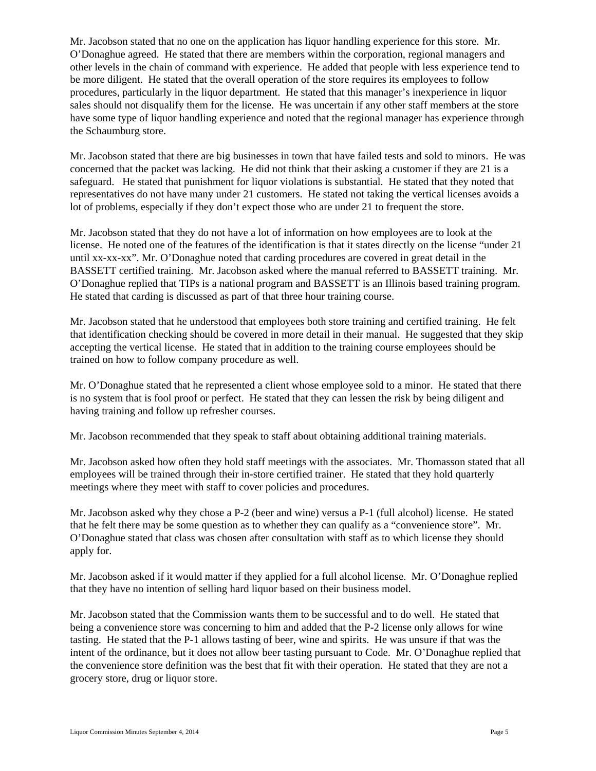Mr. Jacobson stated that no one on the application has liquor handling experience for this store. Mr. O'Donaghue agreed. He stated that there are members within the corporation, regional managers and other levels in the chain of command with experience. He added that people with less experience tend to be more diligent. He stated that the overall operation of the store requires its employees to follow procedures, particularly in the liquor department. He stated that this manager's inexperience in liquor sales should not disqualify them for the license. He was uncertain if any other staff members at the store have some type of liquor handling experience and noted that the regional manager has experience through the Schaumburg store.

Mr. Jacobson stated that there are big businesses in town that have failed tests and sold to minors. He was concerned that the packet was lacking. He did not think that their asking a customer if they are 21 is a safeguard. He stated that punishment for liquor violations is substantial. He stated that they noted that representatives do not have many under 21 customers. He stated not taking the vertical licenses avoids a lot of problems, especially if they don't expect those who are under 21 to frequent the store.

Mr. Jacobson stated that they do not have a lot of information on how employees are to look at the license. He noted one of the features of the identification is that it states directly on the license "under 21 until xx-xx-xx". Mr. O'Donaghue noted that carding procedures are covered in great detail in the BASSETT certified training. Mr. Jacobson asked where the manual referred to BASSETT training. Mr. O'Donaghue replied that TIPs is a national program and BASSETT is an Illinois based training program. He stated that carding is discussed as part of that three hour training course.

Mr. Jacobson stated that he understood that employees both store training and certified training. He felt that identification checking should be covered in more detail in their manual. He suggested that they skip accepting the vertical license. He stated that in addition to the training course employees should be trained on how to follow company procedure as well.

Mr. O'Donaghue stated that he represented a client whose employee sold to a minor. He stated that there is no system that is fool proof or perfect. He stated that they can lessen the risk by being diligent and having training and follow up refresher courses.

Mr. Jacobson recommended that they speak to staff about obtaining additional training materials.

Mr. Jacobson asked how often they hold staff meetings with the associates. Mr. Thomasson stated that all employees will be trained through their in-store certified trainer. He stated that they hold quarterly meetings where they meet with staff to cover policies and procedures.

Mr. Jacobson asked why they chose a P-2 (beer and wine) versus a P-1 (full alcohol) license. He stated that he felt there may be some question as to whether they can qualify as a "convenience store". Mr. O'Donaghue stated that class was chosen after consultation with staff as to which license they should apply for.

Mr. Jacobson asked if it would matter if they applied for a full alcohol license. Mr. O'Donaghue replied that they have no intention of selling hard liquor based on their business model.

Mr. Jacobson stated that the Commission wants them to be successful and to do well. He stated that being a convenience store was concerning to him and added that the P-2 license only allows for wine tasting. He stated that the P-1 allows tasting of beer, wine and spirits. He was unsure if that was the intent of the ordinance, but it does not allow beer tasting pursuant to Code. Mr. O'Donaghue replied that the convenience store definition was the best that fit with their operation. He stated that they are not a grocery store, drug or liquor store.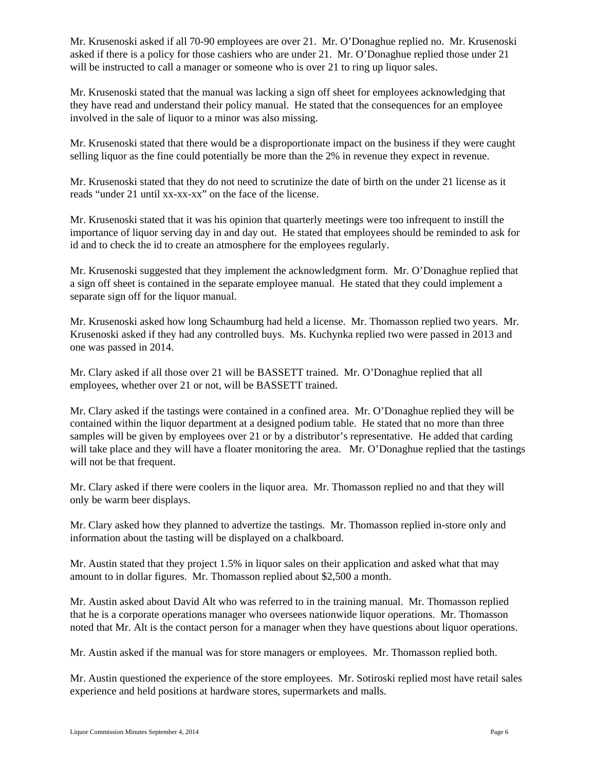Mr. Krusenoski asked if all 70-90 employees are over 21. Mr. O'Donaghue replied no. Mr. Krusenoski asked if there is a policy for those cashiers who are under 21. Mr. O'Donaghue replied those under 21 will be instructed to call a manager or someone who is over 21 to ring up liquor sales.

Mr. Krusenoski stated that the manual was lacking a sign off sheet for employees acknowledging that they have read and understand their policy manual. He stated that the consequences for an employee involved in the sale of liquor to a minor was also missing.

Mr. Krusenoski stated that there would be a disproportionate impact on the business if they were caught selling liquor as the fine could potentially be more than the 2% in revenue they expect in revenue.

Mr. Krusenoski stated that they do not need to scrutinize the date of birth on the under 21 license as it reads "under 21 until xx-xx-xx" on the face of the license.

Mr. Krusenoski stated that it was his opinion that quarterly meetings were too infrequent to instill the importance of liquor serving day in and day out. He stated that employees should be reminded to ask for id and to check the id to create an atmosphere for the employees regularly.

Mr. Krusenoski suggested that they implement the acknowledgment form. Mr. O'Donaghue replied that a sign off sheet is contained in the separate employee manual. He stated that they could implement a separate sign off for the liquor manual.

Mr. Krusenoski asked how long Schaumburg had held a license. Mr. Thomasson replied two years. Mr. Krusenoski asked if they had any controlled buys. Ms. Kuchynka replied two were passed in 2013 and one was passed in 2014.

Mr. Clary asked if all those over 21 will be BASSETT trained. Mr. O'Donaghue replied that all employees, whether over 21 or not, will be BASSETT trained.

Mr. Clary asked if the tastings were contained in a confined area. Mr. O'Donaghue replied they will be contained within the liquor department at a designed podium table. He stated that no more than three samples will be given by employees over 21 or by a distributor's representative. He added that carding will take place and they will have a floater monitoring the area. Mr. O'Donaghue replied that the tastings will not be that frequent.

Mr. Clary asked if there were coolers in the liquor area. Mr. Thomasson replied no and that they will only be warm beer displays.

Mr. Clary asked how they planned to advertize the tastings. Mr. Thomasson replied in-store only and information about the tasting will be displayed on a chalkboard.

Mr. Austin stated that they project 1.5% in liquor sales on their application and asked what that may amount to in dollar figures. Mr. Thomasson replied about \$2,500 a month.

Mr. Austin asked about David Alt who was referred to in the training manual. Mr. Thomasson replied that he is a corporate operations manager who oversees nationwide liquor operations. Mr. Thomasson noted that Mr. Alt is the contact person for a manager when they have questions about liquor operations.

Mr. Austin asked if the manual was for store managers or employees. Mr. Thomasson replied both.

Mr. Austin questioned the experience of the store employees. Mr. Sotiroski replied most have retail sales experience and held positions at hardware stores, supermarkets and malls.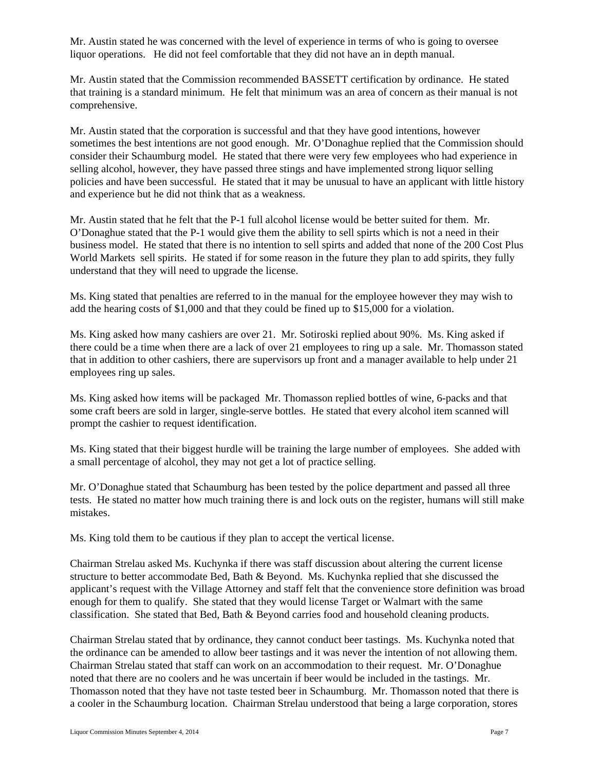Mr. Austin stated he was concerned with the level of experience in terms of who is going to oversee liquor operations. He did not feel comfortable that they did not have an in depth manual.

Mr. Austin stated that the Commission recommended BASSETT certification by ordinance. He stated that training is a standard minimum. He felt that minimum was an area of concern as their manual is not comprehensive.

Mr. Austin stated that the corporation is successful and that they have good intentions, however sometimes the best intentions are not good enough. Mr. O'Donaghue replied that the Commission should consider their Schaumburg model. He stated that there were very few employees who had experience in selling alcohol, however, they have passed three stings and have implemented strong liquor selling policies and have been successful. He stated that it may be unusual to have an applicant with little history and experience but he did not think that as a weakness.

Mr. Austin stated that he felt that the P-1 full alcohol license would be better suited for them. Mr. O'Donaghue stated that the P-1 would give them the ability to sell spirts which is not a need in their business model. He stated that there is no intention to sell spirts and added that none of the 200 Cost Plus World Markets sell spirits. He stated if for some reason in the future they plan to add spirits, they fully understand that they will need to upgrade the license.

Ms. King stated that penalties are referred to in the manual for the employee however they may wish to add the hearing costs of \$1,000 and that they could be fined up to \$15,000 for a violation.

Ms. King asked how many cashiers are over 21. Mr. Sotiroski replied about 90%. Ms. King asked if there could be a time when there are a lack of over 21 employees to ring up a sale. Mr. Thomasson stated that in addition to other cashiers, there are supervisors up front and a manager available to help under 21 employees ring up sales.

Ms. King asked how items will be packaged Mr. Thomasson replied bottles of wine, 6-packs and that some craft beers are sold in larger, single-serve bottles. He stated that every alcohol item scanned will prompt the cashier to request identification.

Ms. King stated that their biggest hurdle will be training the large number of employees. She added with a small percentage of alcohol, they may not get a lot of practice selling.

Mr. O'Donaghue stated that Schaumburg has been tested by the police department and passed all three tests. He stated no matter how much training there is and lock outs on the register, humans will still make mistakes.

Ms. King told them to be cautious if they plan to accept the vertical license.

Chairman Strelau asked Ms. Kuchynka if there was staff discussion about altering the current license structure to better accommodate Bed, Bath & Beyond. Ms. Kuchynka replied that she discussed the applicant's request with the Village Attorney and staff felt that the convenience store definition was broad enough for them to qualify. She stated that they would license Target or Walmart with the same classification. She stated that Bed, Bath & Beyond carries food and household cleaning products.

Chairman Strelau stated that by ordinance, they cannot conduct beer tastings. Ms. Kuchynka noted that the ordinance can be amended to allow beer tastings and it was never the intention of not allowing them. Chairman Strelau stated that staff can work on an accommodation to their request. Mr. O'Donaghue noted that there are no coolers and he was uncertain if beer would be included in the tastings. Mr. Thomasson noted that they have not taste tested beer in Schaumburg. Mr. Thomasson noted that there is a cooler in the Schaumburg location. Chairman Strelau understood that being a large corporation, stores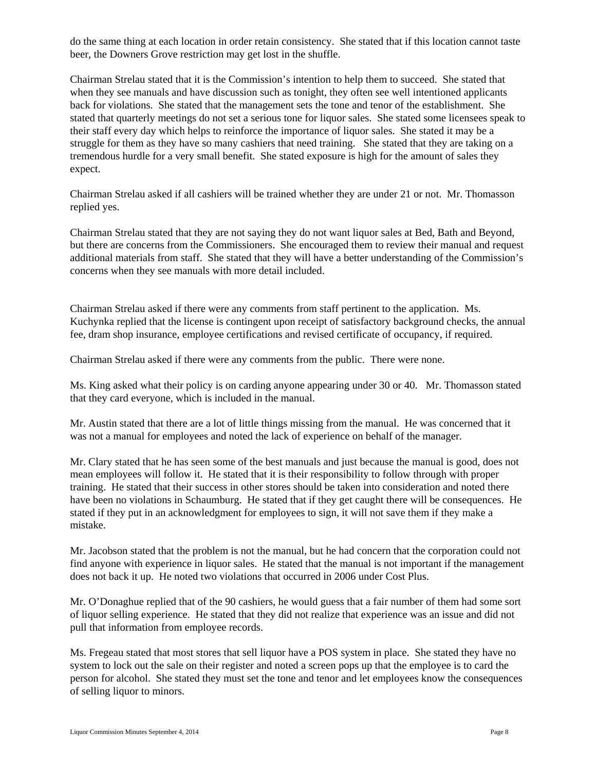do the same thing at each location in order retain consistency. She stated that if this location cannot taste beer, the Downers Grove restriction may get lost in the shuffle.

Chairman Strelau stated that it is the Commission's intention to help them to succeed. She stated that when they see manuals and have discussion such as tonight, they often see well intentioned applicants back for violations. She stated that the management sets the tone and tenor of the establishment. She stated that quarterly meetings do not set a serious tone for liquor sales. She stated some licensees speak to their staff every day which helps to reinforce the importance of liquor sales. She stated it may be a struggle for them as they have so many cashiers that need training. She stated that they are taking on a tremendous hurdle for a very small benefit. She stated exposure is high for the amount of sales they expect.

Chairman Strelau asked if all cashiers will be trained whether they are under 21 or not. Mr. Thomasson replied yes.

Chairman Strelau stated that they are not saying they do not want liquor sales at Bed, Bath and Beyond, but there are concerns from the Commissioners. She encouraged them to review their manual and request additional materials from staff. She stated that they will have a better understanding of the Commission's concerns when they see manuals with more detail included.

Chairman Strelau asked if there were any comments from staff pertinent to the application. Ms. Kuchynka replied that the license is contingent upon receipt of satisfactory background checks, the annual fee, dram shop insurance, employee certifications and revised certificate of occupancy, if required.

Chairman Strelau asked if there were any comments from the public. There were none.

Ms. King asked what their policy is on carding anyone appearing under 30 or 40. Mr. Thomasson stated that they card everyone, which is included in the manual.

Mr. Austin stated that there are a lot of little things missing from the manual. He was concerned that it was not a manual for employees and noted the lack of experience on behalf of the manager.

Mr. Clary stated that he has seen some of the best manuals and just because the manual is good, does not mean employees will follow it. He stated that it is their responsibility to follow through with proper training. He stated that their success in other stores should be taken into consideration and noted there have been no violations in Schaumburg. He stated that if they get caught there will be consequences. He stated if they put in an acknowledgment for employees to sign, it will not save them if they make a mistake.

Mr. Jacobson stated that the problem is not the manual, but he had concern that the corporation could not find anyone with experience in liquor sales. He stated that the manual is not important if the management does not back it up. He noted two violations that occurred in 2006 under Cost Plus.

Mr. O'Donaghue replied that of the 90 cashiers, he would guess that a fair number of them had some sort of liquor selling experience. He stated that they did not realize that experience was an issue and did not pull that information from employee records.

Ms. Fregeau stated that most stores that sell liquor have a POS system in place. She stated they have no system to lock out the sale on their register and noted a screen pops up that the employee is to card the person for alcohol. She stated they must set the tone and tenor and let employees know the consequences of selling liquor to minors.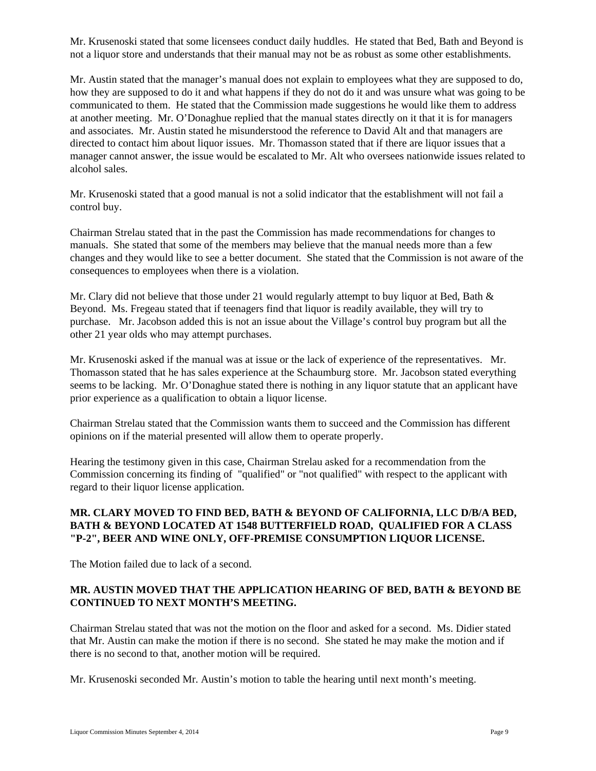Mr. Krusenoski stated that some licensees conduct daily huddles. He stated that Bed, Bath and Beyond is not a liquor store and understands that their manual may not be as robust as some other establishments.

Mr. Austin stated that the manager's manual does not explain to employees what they are supposed to do, how they are supposed to do it and what happens if they do not do it and was unsure what was going to be communicated to them. He stated that the Commission made suggestions he would like them to address at another meeting. Mr. O'Donaghue replied that the manual states directly on it that it is for managers and associates. Mr. Austin stated he misunderstood the reference to David Alt and that managers are directed to contact him about liquor issues. Mr. Thomasson stated that if there are liquor issues that a manager cannot answer, the issue would be escalated to Mr. Alt who oversees nationwide issues related to alcohol sales.

Mr. Krusenoski stated that a good manual is not a solid indicator that the establishment will not fail a control buy.

Chairman Strelau stated that in the past the Commission has made recommendations for changes to manuals. She stated that some of the members may believe that the manual needs more than a few changes and they would like to see a better document. She stated that the Commission is not aware of the consequences to employees when there is a violation.

Mr. Clary did not believe that those under 21 would regularly attempt to buy liquor at Bed, Bath  $\&$ Beyond. Ms. Fregeau stated that if teenagers find that liquor is readily available, they will try to purchase. Mr. Jacobson added this is not an issue about the Village's control buy program but all the other 21 year olds who may attempt purchases.

Mr. Krusenoski asked if the manual was at issue or the lack of experience of the representatives. Mr. Thomasson stated that he has sales experience at the Schaumburg store. Mr. Jacobson stated everything seems to be lacking. Mr. O'Donaghue stated there is nothing in any liquor statute that an applicant have prior experience as a qualification to obtain a liquor license.

Chairman Strelau stated that the Commission wants them to succeed and the Commission has different opinions on if the material presented will allow them to operate properly.

Hearing the testimony given in this case, Chairman Strelau asked for a recommendation from the Commission concerning its finding of "qualified" or "not qualified" with respect to the applicant with regard to their liquor license application.

### **MR. CLARY MOVED TO FIND BED, BATH & BEYOND OF CALIFORNIA, LLC D/B/A BED, BATH & BEYOND LOCATED AT 1548 BUTTERFIELD ROAD, QUALIFIED FOR A CLASS "P-2", BEER AND WINE ONLY, OFF-PREMISE CONSUMPTION LIQUOR LICENSE.**

The Motion failed due to lack of a second.

### **MR. AUSTIN MOVED THAT THE APPLICATION HEARING OF BED, BATH & BEYOND BE CONTINUED TO NEXT MONTH'S MEETING.**

Chairman Strelau stated that was not the motion on the floor and asked for a second. Ms. Didier stated that Mr. Austin can make the motion if there is no second. She stated he may make the motion and if there is no second to that, another motion will be required.

Mr. Krusenoski seconded Mr. Austin's motion to table the hearing until next month's meeting.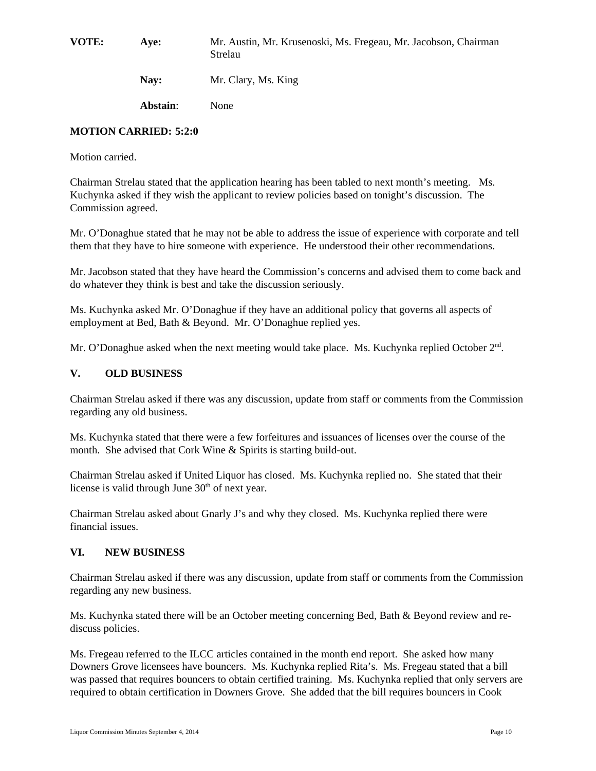**VOTE: Aye:** Mr. Austin, Mr. Krusenoski, Ms. Fregeau, Mr. Jacobson, Chairman Strelau

**Nay:** Mr. Clary, Ms. King

**Abstain**: None

### **MOTION CARRIED: 5:2:0**

Motion carried.

Chairman Strelau stated that the application hearing has been tabled to next month's meeting. Ms. Kuchynka asked if they wish the applicant to review policies based on tonight's discussion. The Commission agreed.

Mr. O'Donaghue stated that he may not be able to address the issue of experience with corporate and tell them that they have to hire someone with experience. He understood their other recommendations.

Mr. Jacobson stated that they have heard the Commission's concerns and advised them to come back and do whatever they think is best and take the discussion seriously.

Ms. Kuchynka asked Mr. O'Donaghue if they have an additional policy that governs all aspects of employment at Bed, Bath & Beyond. Mr. O'Donaghue replied yes.

Mr. O'Donaghue asked when the next meeting would take place. Ms. Kuchynka replied October 2<sup>nd</sup>.

### **V. OLD BUSINESS**

Chairman Strelau asked if there was any discussion, update from staff or comments from the Commission regarding any old business.

Ms. Kuchynka stated that there were a few forfeitures and issuances of licenses over the course of the month. She advised that Cork Wine & Spirits is starting build-out.

Chairman Strelau asked if United Liquor has closed. Ms. Kuchynka replied no. She stated that their license is valid through June  $30<sup>th</sup>$  of next year.

Chairman Strelau asked about Gnarly J's and why they closed. Ms. Kuchynka replied there were financial issues.

### **VI. NEW BUSINESS**

Chairman Strelau asked if there was any discussion, update from staff or comments from the Commission regarding any new business.

Ms. Kuchynka stated there will be an October meeting concerning Bed, Bath & Beyond review and rediscuss policies.

Ms. Fregeau referred to the ILCC articles contained in the month end report. She asked how many Downers Grove licensees have bouncers. Ms. Kuchynka replied Rita's. Ms. Fregeau stated that a bill was passed that requires bouncers to obtain certified training. Ms. Kuchynka replied that only servers are required to obtain certification in Downers Grove. She added that the bill requires bouncers in Cook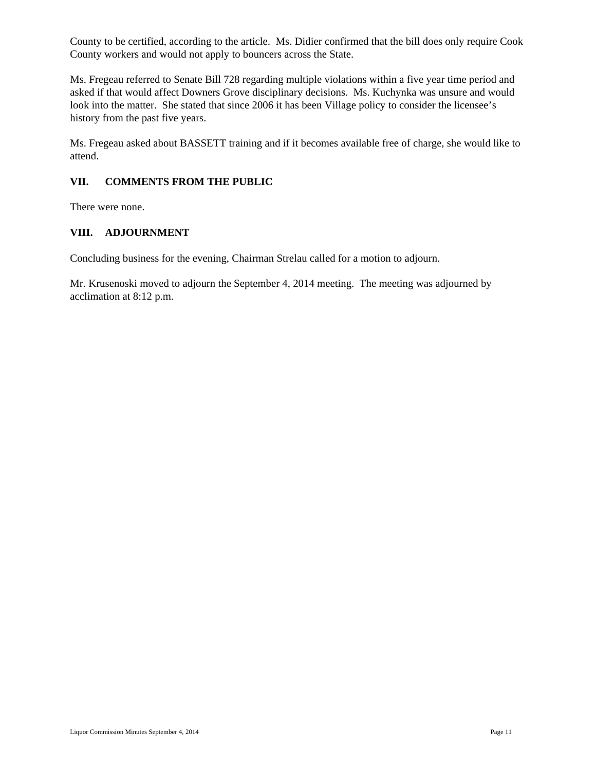County to be certified, according to the article. Ms. Didier confirmed that the bill does only require Cook County workers and would not apply to bouncers across the State.

Ms. Fregeau referred to Senate Bill 728 regarding multiple violations within a five year time period and asked if that would affect Downers Grove disciplinary decisions. Ms. Kuchynka was unsure and would look into the matter. She stated that since 2006 it has been Village policy to consider the licensee's history from the past five years.

Ms. Fregeau asked about BASSETT training and if it becomes available free of charge, she would like to attend.

### **VII. COMMENTS FROM THE PUBLIC**

There were none.

#### **VIII. ADJOURNMENT**

Concluding business for the evening, Chairman Strelau called for a motion to adjourn.

Mr. Krusenoski moved to adjourn the September 4, 2014 meeting. The meeting was adjourned by acclimation at 8:12 p.m.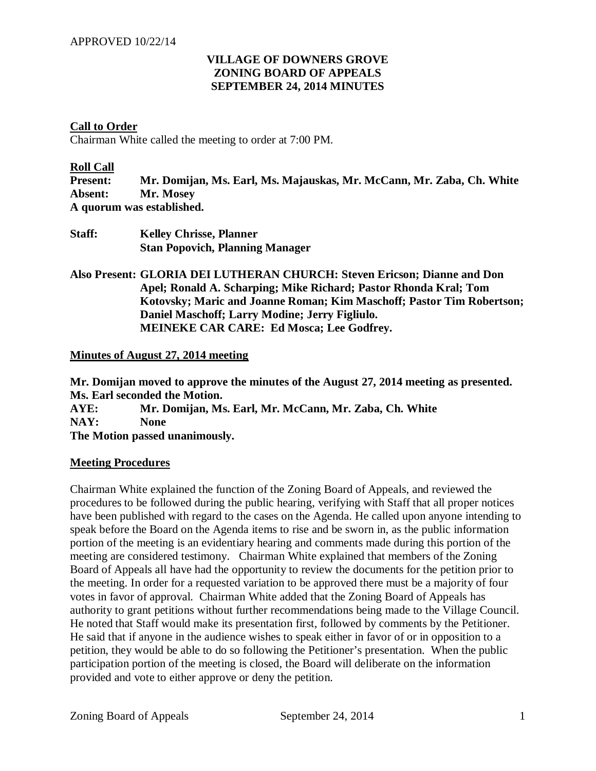## **VILLAGE OF DOWNERS GROVE ZONING BOARD OF APPEALS SEPTEMBER 24, 2014 MINUTES**

### **Call to Order**

Chairman White called the meeting to order at 7:00 PM.

#### **Roll Call**

**Present: Mr. Domijan, Ms. Earl, Ms. Majauskas, Mr. McCann, Mr. Zaba, Ch. White Absent: Mr. Mosey A quorum was established.** 

| Staff: | <b>Kelley Chrisse, Planner</b>         |
|--------|----------------------------------------|
|        | <b>Stan Popovich, Planning Manager</b> |

**Also Present: GLORIA DEI LUTHERAN CHURCH: Steven Ericson; Dianne and Don Apel; Ronald A. Scharping; Mike Richard; Pastor Rhonda Kral; Tom Kotovsky; Maric and Joanne Roman; Kim Maschoff; Pastor Tim Robertson; Daniel Maschoff; Larry Modine; Jerry Figliulo. MEINEKE CAR CARE: Ed Mosca; Lee Godfrey.** 

### **Minutes of August 27, 2014 meeting**

**Mr. Domijan moved to approve the minutes of the August 27, 2014 meeting as presented. Ms. Earl seconded the Motion.** 

**AYE: Mr. Domijan, Ms. Earl, Mr. McCann, Mr. Zaba, Ch. White NAY: None The Motion passed unanimously.** 

### **Meeting Procedures**

Chairman White explained the function of the Zoning Board of Appeals, and reviewed the procedures to be followed during the public hearing, verifying with Staff that all proper notices have been published with regard to the cases on the Agenda. He called upon anyone intending to speak before the Board on the Agenda items to rise and be sworn in, as the public information portion of the meeting is an evidentiary hearing and comments made during this portion of the meeting are considered testimony. Chairman White explained that members of the Zoning Board of Appeals all have had the opportunity to review the documents for the petition prior to the meeting. In order for a requested variation to be approved there must be a majority of four votes in favor of approval. Chairman White added that the Zoning Board of Appeals has authority to grant petitions without further recommendations being made to the Village Council. He noted that Staff would make its presentation first, followed by comments by the Petitioner. He said that if anyone in the audience wishes to speak either in favor of or in opposition to a petition, they would be able to do so following the Petitioner's presentation. When the public participation portion of the meeting is closed, the Board will deliberate on the information provided and vote to either approve or deny the petition.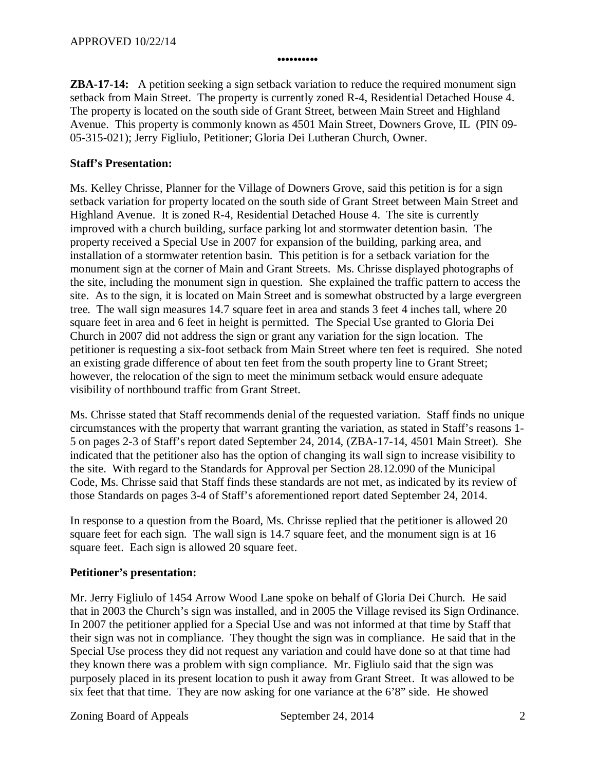**ZBA-17-14:** A petition seeking a sign setback variation to reduce the required monument sign setback from Main Street. The property is currently zoned R-4, Residential Detached House 4. The property is located on the south side of Grant Street, between Main Street and Highland Avenue. This property is commonly known as 4501 Main Street, Downers Grove, IL (PIN 09- 05-315-021); Jerry Figliulo, Petitioner; Gloria Dei Lutheran Church, Owner.

**••••••••••** 

## **Staff's Presentation:**

Ms. Kelley Chrisse, Planner for the Village of Downers Grove, said this petition is for a sign setback variation for property located on the south side of Grant Street between Main Street and Highland Avenue. It is zoned R-4, Residential Detached House 4. The site is currently improved with a church building, surface parking lot and stormwater detention basin. The property received a Special Use in 2007 for expansion of the building, parking area, and installation of a stormwater retention basin. This petition is for a setback variation for the monument sign at the corner of Main and Grant Streets. Ms. Chrisse displayed photographs of the site, including the monument sign in question. She explained the traffic pattern to access the site. As to the sign, it is located on Main Street and is somewhat obstructed by a large evergreen tree. The wall sign measures 14.7 square feet in area and stands 3 feet 4 inches tall, where 20 square feet in area and 6 feet in height is permitted. The Special Use granted to Gloria Dei Church in 2007 did not address the sign or grant any variation for the sign location. The petitioner is requesting a six-foot setback from Main Street where ten feet is required. She noted an existing grade difference of about ten feet from the south property line to Grant Street; however, the relocation of the sign to meet the minimum setback would ensure adequate visibility of northbound traffic from Grant Street.

Ms. Chrisse stated that Staff recommends denial of the requested variation. Staff finds no unique circumstances with the property that warrant granting the variation, as stated in Staff's reasons 1- 5 on pages 2-3 of Staff's report dated September 24, 2014, (ZBA-17-14, 4501 Main Street). She indicated that the petitioner also has the option of changing its wall sign to increase visibility to the site. With regard to the Standards for Approval per Section 28.12.090 of the Municipal Code, Ms. Chrisse said that Staff finds these standards are not met, as indicated by its review of those Standards on pages 3-4 of Staff's aforementioned report dated September 24, 2014.

In response to a question from the Board, Ms. Chrisse replied that the petitioner is allowed 20 square feet for each sign. The wall sign is 14.7 square feet, and the monument sign is at 16 square feet. Each sign is allowed 20 square feet.

## **Petitioner's presentation:**

Mr. Jerry Figliulo of 1454 Arrow Wood Lane spoke on behalf of Gloria Dei Church. He said that in 2003 the Church's sign was installed, and in 2005 the Village revised its Sign Ordinance. In 2007 the petitioner applied for a Special Use and was not informed at that time by Staff that their sign was not in compliance. They thought the sign was in compliance. He said that in the Special Use process they did not request any variation and could have done so at that time had they known there was a problem with sign compliance. Mr. Figliulo said that the sign was purposely placed in its present location to push it away from Grant Street. It was allowed to be six feet that that time. They are now asking for one variance at the 6'8" side. He showed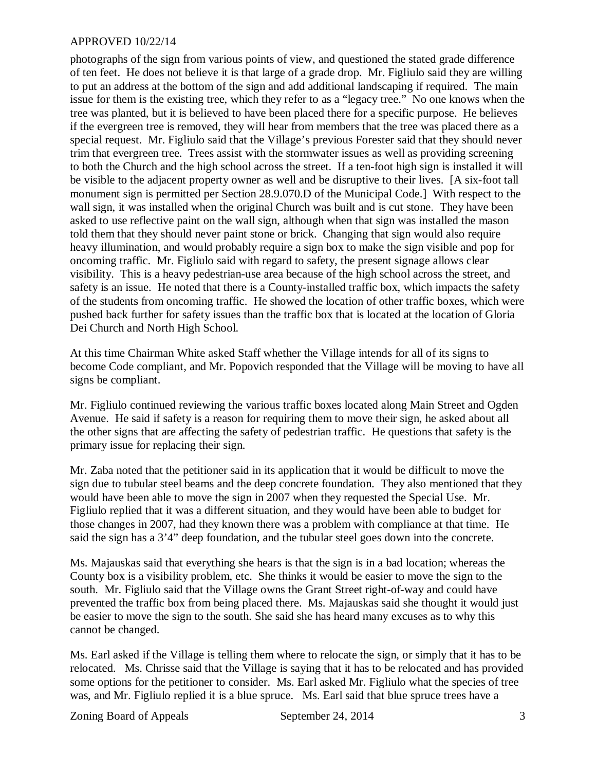photographs of the sign from various points of view, and questioned the stated grade difference of ten feet. He does not believe it is that large of a grade drop. Mr. Figliulo said they are willing to put an address at the bottom of the sign and add additional landscaping if required. The main issue for them is the existing tree, which they refer to as a "legacy tree." No one knows when the tree was planted, but it is believed to have been placed there for a specific purpose. He believes if the evergreen tree is removed, they will hear from members that the tree was placed there as a special request. Mr. Figliulo said that the Village's previous Forester said that they should never trim that evergreen tree. Trees assist with the stormwater issues as well as providing screening to both the Church and the high school across the street. If a ten-foot high sign is installed it will be visible to the adjacent property owner as well and be disruptive to their lives. [A six-foot tall monument sign is permitted per Section 28.9.070.D of the Municipal Code.] With respect to the wall sign, it was installed when the original Church was built and is cut stone. They have been asked to use reflective paint on the wall sign, although when that sign was installed the mason told them that they should never paint stone or brick. Changing that sign would also require heavy illumination, and would probably require a sign box to make the sign visible and pop for oncoming traffic. Mr. Figliulo said with regard to safety, the present signage allows clear visibility. This is a heavy pedestrian-use area because of the high school across the street, and safety is an issue. He noted that there is a County-installed traffic box, which impacts the safety of the students from oncoming traffic. He showed the location of other traffic boxes, which were pushed back further for safety issues than the traffic box that is located at the location of Gloria Dei Church and North High School.

At this time Chairman White asked Staff whether the Village intends for all of its signs to become Code compliant, and Mr. Popovich responded that the Village will be moving to have all signs be compliant.

Mr. Figliulo continued reviewing the various traffic boxes located along Main Street and Ogden Avenue. He said if safety is a reason for requiring them to move their sign, he asked about all the other signs that are affecting the safety of pedestrian traffic. He questions that safety is the primary issue for replacing their sign.

Mr. Zaba noted that the petitioner said in its application that it would be difficult to move the sign due to tubular steel beams and the deep concrete foundation. They also mentioned that they would have been able to move the sign in 2007 when they requested the Special Use. Mr. Figliulo replied that it was a different situation, and they would have been able to budget for those changes in 2007, had they known there was a problem with compliance at that time. He said the sign has a 3'4" deep foundation, and the tubular steel goes down into the concrete.

Ms. Majauskas said that everything she hears is that the sign is in a bad location; whereas the County box is a visibility problem, etc. She thinks it would be easier to move the sign to the south. Mr. Figliulo said that the Village owns the Grant Street right-of-way and could have prevented the traffic box from being placed there. Ms. Majauskas said she thought it would just be easier to move the sign to the south. She said she has heard many excuses as to why this cannot be changed.

Ms. Earl asked if the Village is telling them where to relocate the sign, or simply that it has to be relocated. Ms. Chrisse said that the Village is saying that it has to be relocated and has provided some options for the petitioner to consider. Ms. Earl asked Mr. Figliulo what the species of tree was, and Mr. Figliulo replied it is a blue spruce. Ms. Earl said that blue spruce trees have a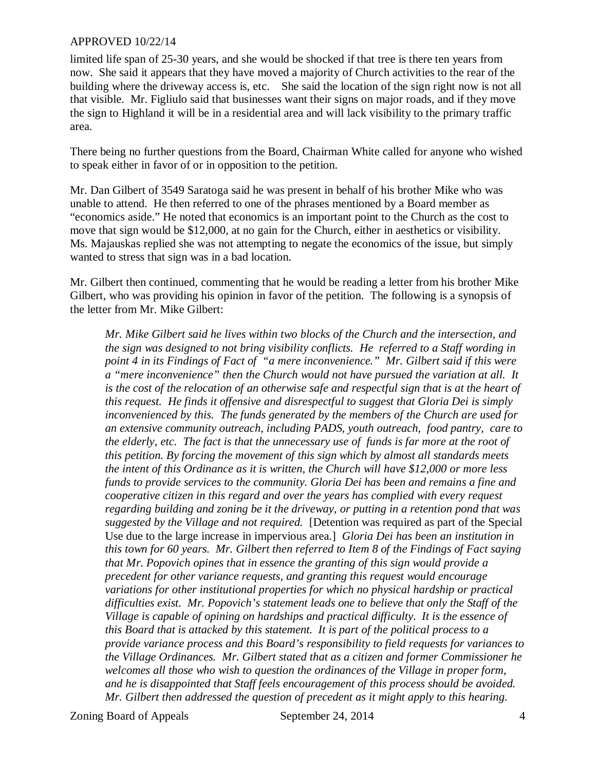limited life span of 25-30 years, and she would be shocked if that tree is there ten years from now. She said it appears that they have moved a majority of Church activities to the rear of the building where the driveway access is, etc. She said the location of the sign right now is not all that visible. Mr. Figliulo said that businesses want their signs on major roads, and if they move the sign to Highland it will be in a residential area and will lack visibility to the primary traffic area.

There being no further questions from the Board, Chairman White called for anyone who wished to speak either in favor of or in opposition to the petition.

Mr. Dan Gilbert of 3549 Saratoga said he was present in behalf of his brother Mike who was unable to attend. He then referred to one of the phrases mentioned by a Board member as "economics aside." He noted that economics is an important point to the Church as the cost to move that sign would be \$12,000, at no gain for the Church, either in aesthetics or visibility. Ms. Majauskas replied she was not attempting to negate the economics of the issue, but simply wanted to stress that sign was in a bad location.

Mr. Gilbert then continued, commenting that he would be reading a letter from his brother Mike Gilbert, who was providing his opinion in favor of the petition. The following is a synopsis of the letter from Mr. Mike Gilbert:

*Mr. Mike Gilbert said he lives within two blocks of the Church and the intersection, and the sign was designed to not bring visibility conflicts. He referred to a Staff wording in point 4 in its Findings of Fact of "a mere inconvenience." Mr. Gilbert said if this were a "mere inconvenience" then the Church would not have pursued the variation at all. It is the cost of the relocation of an otherwise safe and respectful sign that is at the heart of this request. He finds it offensive and disrespectful to suggest that Gloria Dei is simply inconvenienced by this. The funds generated by the members of the Church are used for an extensive community outreach, including PADS, youth outreach, food pantry, care to the elderly, etc. The fact is that the unnecessary use of funds is far more at the root of this petition. By forcing the movement of this sign which by almost all standards meets the intent of this Ordinance as it is written, the Church will have \$12,000 or more less funds to provide services to the community. Gloria Dei has been and remains a fine and cooperative citizen in this regard and over the years has complied with every request regarding building and zoning be it the driveway, or putting in a retention pond that was suggested by the Village and not required.* [Detention was required as part of the Special Use due to the large increase in impervious area.] *Gloria Dei has been an institution in this town for 60 years. Mr. Gilbert then referred to Item 8 of the Findings of Fact saying that Mr. Popovich opines that in essence the granting of this sign would provide a precedent for other variance requests, and granting this request would encourage variations for other institutional properties for which no physical hardship or practical difficulties exist. Mr. Popovich's statement leads one to believe that only the Staff of the Village is capable of opining on hardships and practical difficulty. It is the essence of this Board that is attacked by this statement. It is part of the political process to a provide variance process and this Board's responsibility to field requests for variances to the Village Ordinances. Mr. Gilbert stated that as a citizen and former Commissioner he welcomes all those who wish to question the ordinances of the Village in proper form, and he is disappointed that Staff feels encouragement of this process should be avoided. Mr. Gilbert then addressed the question of precedent as it might apply to this hearing.*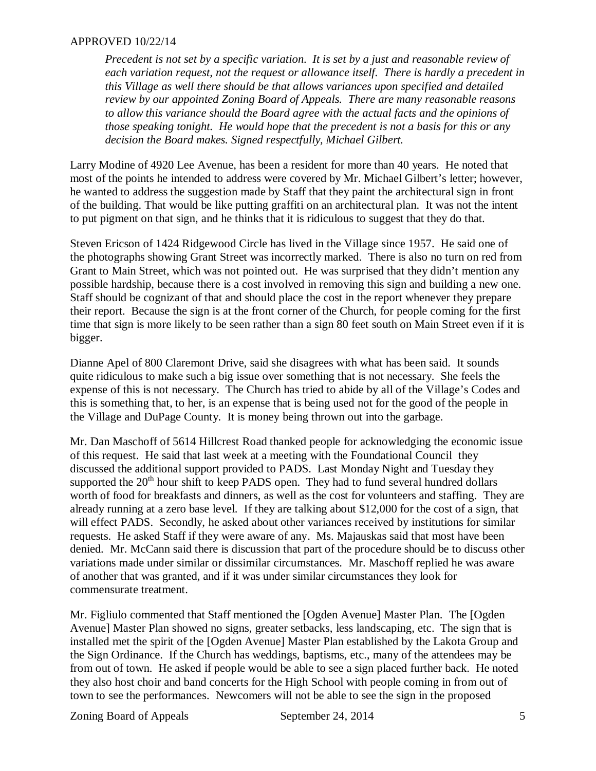*Precedent is not set by a specific variation. It is set by a just and reasonable review of each variation request, not the request or allowance itself. There is hardly a precedent in this Village as well there should be that allows variances upon specified and detailed review by our appointed Zoning Board of Appeals. There are many reasonable reasons to allow this variance should the Board agree with the actual facts and the opinions of those speaking tonight. He would hope that the precedent is not a basis for this or any decision the Board makes. Signed respectfully, Michael Gilbert.*

Larry Modine of 4920 Lee Avenue, has been a resident for more than 40 years. He noted that most of the points he intended to address were covered by Mr. Michael Gilbert's letter; however, he wanted to address the suggestion made by Staff that they paint the architectural sign in front of the building. That would be like putting graffiti on an architectural plan. It was not the intent to put pigment on that sign, and he thinks that it is ridiculous to suggest that they do that.

Steven Ericson of 1424 Ridgewood Circle has lived in the Village since 1957. He said one of the photographs showing Grant Street was incorrectly marked. There is also no turn on red from Grant to Main Street, which was not pointed out. He was surprised that they didn't mention any possible hardship, because there is a cost involved in removing this sign and building a new one. Staff should be cognizant of that and should place the cost in the report whenever they prepare their report. Because the sign is at the front corner of the Church, for people coming for the first time that sign is more likely to be seen rather than a sign 80 feet south on Main Street even if it is bigger.

Dianne Apel of 800 Claremont Drive, said she disagrees with what has been said. It sounds quite ridiculous to make such a big issue over something that is not necessary. She feels the expense of this is not necessary. The Church has tried to abide by all of the Village's Codes and this is something that, to her, is an expense that is being used not for the good of the people in the Village and DuPage County. It is money being thrown out into the garbage.

Mr. Dan Maschoff of 5614 Hillcrest Road thanked people for acknowledging the economic issue of this request. He said that last week at a meeting with the Foundational Council they discussed the additional support provided to PADS. Last Monday Night and Tuesday they supported the  $20<sup>th</sup>$  hour shift to keep PADS open. They had to fund several hundred dollars worth of food for breakfasts and dinners, as well as the cost for volunteers and staffing. They are already running at a zero base level. If they are talking about \$12,000 for the cost of a sign, that will effect PADS. Secondly, he asked about other variances received by institutions for similar requests. He asked Staff if they were aware of any. Ms. Majauskas said that most have been denied. Mr. McCann said there is discussion that part of the procedure should be to discuss other variations made under similar or dissimilar circumstances. Mr. Maschoff replied he was aware of another that was granted, and if it was under similar circumstances they look for commensurate treatment.

Mr. Figliulo commented that Staff mentioned the [Ogden Avenue] Master Plan. The [Ogden Avenue] Master Plan showed no signs, greater setbacks, less landscaping, etc. The sign that is installed met the spirit of the [Ogden Avenue] Master Plan established by the Lakota Group and the Sign Ordinance. If the Church has weddings, baptisms, etc., many of the attendees may be from out of town. He asked if people would be able to see a sign placed further back. He noted they also host choir and band concerts for the High School with people coming in from out of town to see the performances. Newcomers will not be able to see the sign in the proposed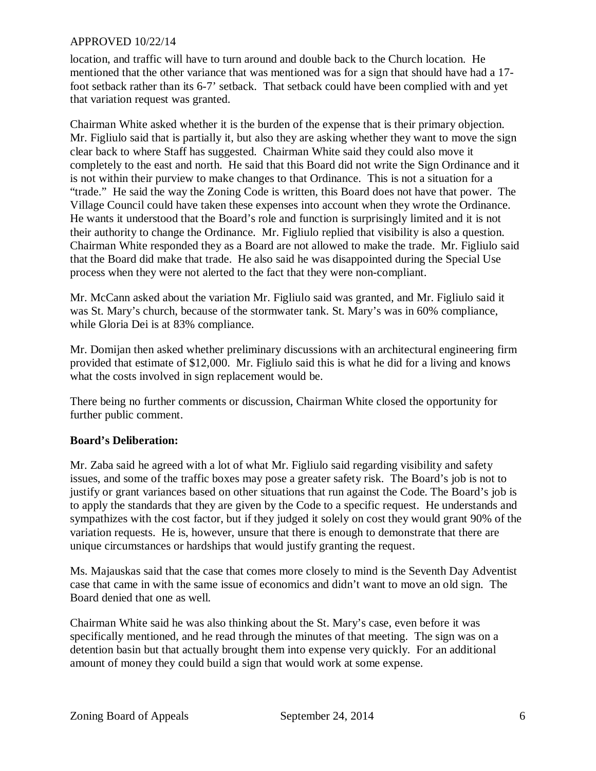location, and traffic will have to turn around and double back to the Church location. He mentioned that the other variance that was mentioned was for a sign that should have had a 17 foot setback rather than its 6-7' setback. That setback could have been complied with and yet that variation request was granted.

Chairman White asked whether it is the burden of the expense that is their primary objection. Mr. Figliulo said that is partially it, but also they are asking whether they want to move the sign clear back to where Staff has suggested. Chairman White said they could also move it completely to the east and north. He said that this Board did not write the Sign Ordinance and it is not within their purview to make changes to that Ordinance. This is not a situation for a "trade." He said the way the Zoning Code is written, this Board does not have that power. The Village Council could have taken these expenses into account when they wrote the Ordinance. He wants it understood that the Board's role and function is surprisingly limited and it is not their authority to change the Ordinance. Mr. Figliulo replied that visibility is also a question. Chairman White responded they as a Board are not allowed to make the trade. Mr. Figliulo said that the Board did make that trade. He also said he was disappointed during the Special Use process when they were not alerted to the fact that they were non-compliant.

Mr. McCann asked about the variation Mr. Figliulo said was granted, and Mr. Figliulo said it was St. Mary's church, because of the stormwater tank. St. Mary's was in 60% compliance, while Gloria Dei is at 83% compliance.

Mr. Domijan then asked whether preliminary discussions with an architectural engineering firm provided that estimate of \$12,000. Mr. Figliulo said this is what he did for a living and knows what the costs involved in sign replacement would be.

There being no further comments or discussion, Chairman White closed the opportunity for further public comment.

## **Board's Deliberation:**

Mr. Zaba said he agreed with a lot of what Mr. Figliulo said regarding visibility and safety issues, and some of the traffic boxes may pose a greater safety risk. The Board's job is not to justify or grant variances based on other situations that run against the Code. The Board's job is to apply the standards that they are given by the Code to a specific request. He understands and sympathizes with the cost factor, but if they judged it solely on cost they would grant 90% of the variation requests. He is, however, unsure that there is enough to demonstrate that there are unique circumstances or hardships that would justify granting the request.

Ms. Majauskas said that the case that comes more closely to mind is the Seventh Day Adventist case that came in with the same issue of economics and didn't want to move an old sign. The Board denied that one as well.

Chairman White said he was also thinking about the St. Mary's case, even before it was specifically mentioned, and he read through the minutes of that meeting. The sign was on a detention basin but that actually brought them into expense very quickly. For an additional amount of money they could build a sign that would work at some expense.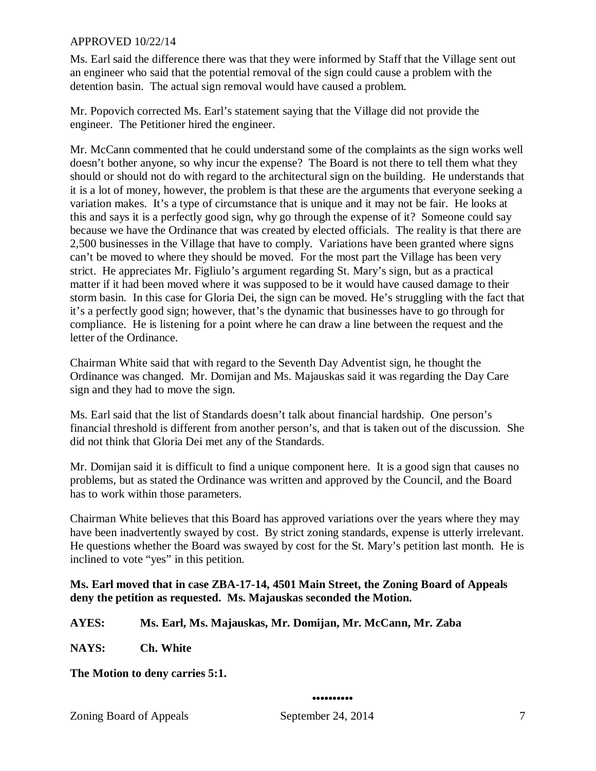Ms. Earl said the difference there was that they were informed by Staff that the Village sent out an engineer who said that the potential removal of the sign could cause a problem with the detention basin. The actual sign removal would have caused a problem.

Mr. Popovich corrected Ms. Earl's statement saying that the Village did not provide the engineer. The Petitioner hired the engineer.

Mr. McCann commented that he could understand some of the complaints as the sign works well doesn't bother anyone, so why incur the expense? The Board is not there to tell them what they should or should not do with regard to the architectural sign on the building. He understands that it is a lot of money, however, the problem is that these are the arguments that everyone seeking a variation makes. It's a type of circumstance that is unique and it may not be fair. He looks at this and says it is a perfectly good sign, why go through the expense of it? Someone could say because we have the Ordinance that was created by elected officials. The reality is that there are 2,500 businesses in the Village that have to comply. Variations have been granted where signs can't be moved to where they should be moved. For the most part the Village has been very strict. He appreciates Mr. Figliulo's argument regarding St. Mary's sign, but as a practical matter if it had been moved where it was supposed to be it would have caused damage to their storm basin. In this case for Gloria Dei, the sign can be moved. He's struggling with the fact that it's a perfectly good sign; however, that's the dynamic that businesses have to go through for compliance. He is listening for a point where he can draw a line between the request and the letter of the Ordinance.

Chairman White said that with regard to the Seventh Day Adventist sign, he thought the Ordinance was changed. Mr. Domijan and Ms. Majauskas said it was regarding the Day Care sign and they had to move the sign.

Ms. Earl said that the list of Standards doesn't talk about financial hardship. One person's financial threshold is different from another person's, and that is taken out of the discussion. She did not think that Gloria Dei met any of the Standards.

Mr. Domijan said it is difficult to find a unique component here. It is a good sign that causes no problems, but as stated the Ordinance was written and approved by the Council, and the Board has to work within those parameters.

Chairman White believes that this Board has approved variations over the years where they may have been inadvertently swayed by cost. By strict zoning standards, expense is utterly irrelevant. He questions whether the Board was swayed by cost for the St. Mary's petition last month. He is inclined to vote "yes" in this petition.

## **Ms. Earl moved that in case ZBA-17-14, 4501 Main Street, the Zoning Board of Appeals deny the petition as requested. Ms. Majauskas seconded the Motion.**

**AYES: Ms. Earl, Ms. Majauskas, Mr. Domijan, Mr. McCann, Mr. Zaba** 

**NAYS: Ch. White**

**The Motion to deny carries 5:1.**

#### **••••••••••**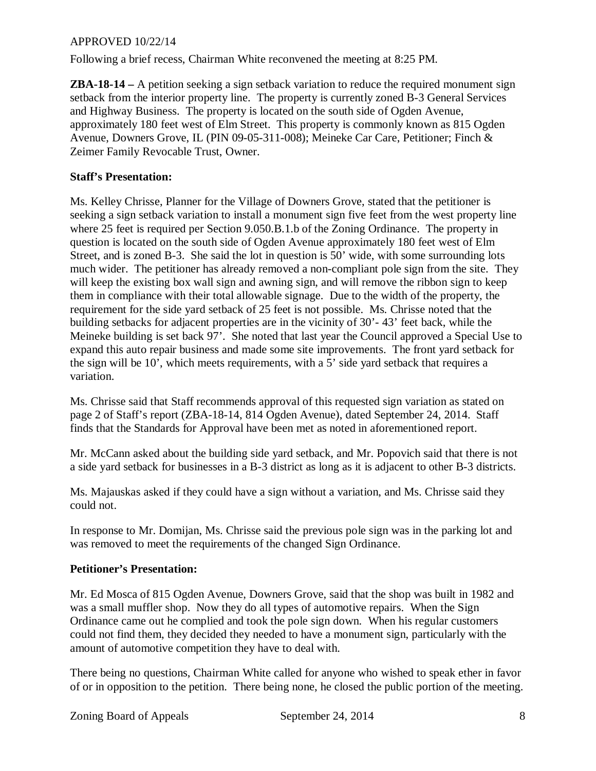Following a brief recess, Chairman White reconvened the meeting at 8:25 PM.

**ZBA-18-14 –** A petition seeking a sign setback variation to reduce the required monument sign setback from the interior property line. The property is currently zoned B-3 General Services and Highway Business. The property is located on the south side of Ogden Avenue, approximately 180 feet west of Elm Street. This property is commonly known as 815 Ogden Avenue, Downers Grove, IL (PIN 09-05-311-008); Meineke Car Care, Petitioner; Finch & Zeimer Family Revocable Trust, Owner.

## **Staff's Presentation:**

Ms. Kelley Chrisse, Planner for the Village of Downers Grove, stated that the petitioner is seeking a sign setback variation to install a monument sign five feet from the west property line where 25 feet is required per Section 9.050.B.1.b of the Zoning Ordinance. The property in question is located on the south side of Ogden Avenue approximately 180 feet west of Elm Street, and is zoned B-3. She said the lot in question is 50' wide, with some surrounding lots much wider. The petitioner has already removed a non-compliant pole sign from the site. They will keep the existing box wall sign and awning sign, and will remove the ribbon sign to keep them in compliance with their total allowable signage. Due to the width of the property, the requirement for the side yard setback of 25 feet is not possible. Ms. Chrisse noted that the building setbacks for adjacent properties are in the vicinity of 30'- 43' feet back, while the Meineke building is set back 97'. She noted that last year the Council approved a Special Use to expand this auto repair business and made some site improvements. The front yard setback for the sign will be 10', which meets requirements, with a 5' side yard setback that requires a variation.

Ms. Chrisse said that Staff recommends approval of this requested sign variation as stated on page 2 of Staff's report (ZBA-18-14, 814 Ogden Avenue), dated September 24, 2014. Staff finds that the Standards for Approval have been met as noted in aforementioned report.

Mr. McCann asked about the building side yard setback, and Mr. Popovich said that there is not a side yard setback for businesses in a B-3 district as long as it is adjacent to other B-3 districts.

Ms. Majauskas asked if they could have a sign without a variation, and Ms. Chrisse said they could not.

In response to Mr. Domijan, Ms. Chrisse said the previous pole sign was in the parking lot and was removed to meet the requirements of the changed Sign Ordinance.

# **Petitioner's Presentation:**

Mr. Ed Mosca of 815 Ogden Avenue, Downers Grove, said that the shop was built in 1982 and was a small muffler shop. Now they do all types of automotive repairs. When the Sign Ordinance came out he complied and took the pole sign down. When his regular customers could not find them, they decided they needed to have a monument sign, particularly with the amount of automotive competition they have to deal with.

There being no questions, Chairman White called for anyone who wished to speak ether in favor of or in opposition to the petition. There being none, he closed the public portion of the meeting.